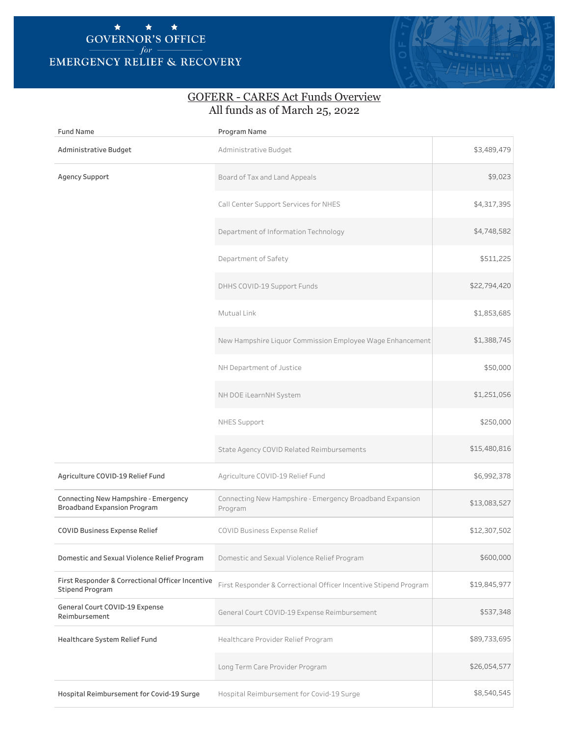## EMERGENCY RELIEF & RECOVERY  $\star$   $\star$   $\star$   $\star$   $\star$  GOVERNOR'S OFFICE *for* –



## GOFERR - CARES Act Funds Overview All funds as of March 25, 2022

| <b>Fund Name</b>                                                           | Program Name                                                        |              |
|----------------------------------------------------------------------------|---------------------------------------------------------------------|--------------|
| Administrative Budget                                                      | Administrative Budget                                               | \$3,489,479  |
| <b>Agency Support</b>                                                      | Board of Tax and Land Appeals                                       | \$9,023      |
|                                                                            | Call Center Support Services for NHES                               | \$4,317,395  |
|                                                                            | Department of Information Technology                                | \$4,748,582  |
|                                                                            | Department of Safety                                                | \$511,225    |
|                                                                            | DHHS COVID-19 Support Funds                                         | \$22,794,420 |
|                                                                            | Mutual Link                                                         | \$1,853,685  |
|                                                                            | New Hampshire Liquor Commission Employee Wage Enhancement           | \$1,388,745  |
|                                                                            | NH Department of Justice                                            | \$50,000     |
|                                                                            | NH DOE iLearnNH System                                              | \$1,251,056  |
|                                                                            | NHES Support                                                        | \$250,000    |
|                                                                            | State Agency COVID Related Reimbursements                           | \$15,480,816 |
| Agriculture COVID-19 Relief Fund                                           | Agriculture COVID-19 Relief Fund                                    | \$6,992,378  |
| Connecting New Hampshire - Emergency<br><b>Broadband Expansion Program</b> | Connecting New Hampshire - Emergency Broadband Expansion<br>Program | \$13,083,527 |
| COVID Business Expense Relief                                              | COVID Business Expense Relief                                       | \$12,307,502 |
| Domestic and Sexual Violence Relief Program                                | Domestic and Sexual Violence Relief Program                         | \$600,000    |
| First Responder & Correctional Officer Incentive<br><b>Stipend Program</b> | First Responder & Correctional Officer Incentive Stipend Program    | \$19,845,977 |
| General Court COVID-19 Expense<br>Reimbursement                            | General Court COVID-19 Expense Reimbursement                        | \$537,348    |
| Healthcare System Relief Fund                                              | Healthcare Provider Relief Program                                  | \$89,733,695 |
|                                                                            | Long Term Care Provider Program                                     | \$26,054,577 |
| Hospital Reimbursement for Covid-19 Surge                                  | Hospital Reimbursement for Covid-19 Surge                           | \$8,540,545  |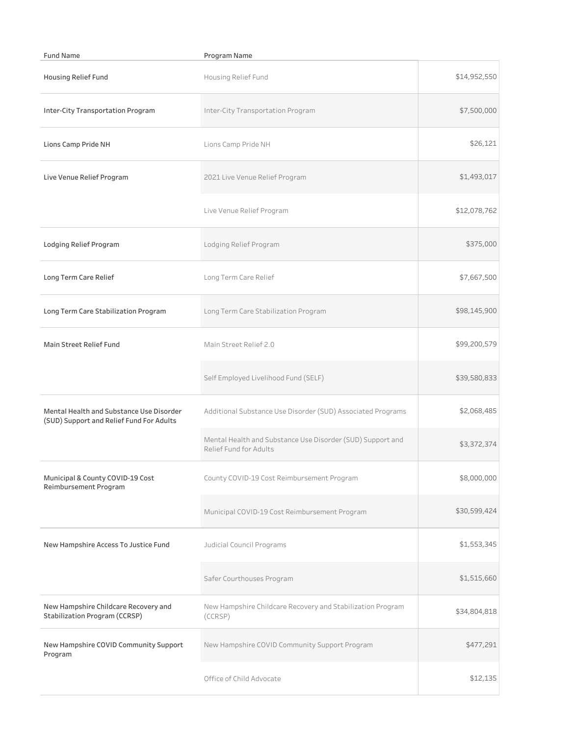| <b>Fund Name</b>                                                                     | Program Name                                                                         |              |
|--------------------------------------------------------------------------------------|--------------------------------------------------------------------------------------|--------------|
| Housing Relief Fund                                                                  | Housing Relief Fund                                                                  | \$14,952,550 |
| Inter-City Transportation Program                                                    | Inter-City Transportation Program                                                    | \$7,500,000  |
| Lions Camp Pride NH                                                                  | Lions Camp Pride NH                                                                  | \$26,121     |
| Live Venue Relief Program                                                            | 2021 Live Venue Relief Program                                                       | \$1,493,017  |
|                                                                                      | Live Venue Relief Program                                                            | \$12,078,762 |
| Lodging Relief Program                                                               | Lodging Relief Program                                                               | \$375,000    |
| Long Term Care Relief                                                                | Long Term Care Relief                                                                | \$7,667,500  |
| Long Term Care Stabilization Program                                                 | Long Term Care Stabilization Program                                                 | \$98,145,900 |
| Main Street Relief Fund                                                              | Main Street Relief 2.0                                                               | \$99,200,579 |
|                                                                                      | Self Employed Livelihood Fund (SELF)                                                 | \$39,580,833 |
| Mental Health and Substance Use Disorder<br>(SUD) Support and Relief Fund For Adults | Additional Substance Use Disorder (SUD) Associated Programs                          | \$2,068,485  |
|                                                                                      | Mental Health and Substance Use Disorder (SUD) Support and<br>Relief Fund for Adults | \$3,372,374  |
| Municipal & County COVID-19 Cost<br>Reimbursement Program                            | County COVID-19 Cost Reimbursement Program                                           | \$8,000,000  |
|                                                                                      | Municipal COVID-19 Cost Reimbursement Program                                        | \$30,599,424 |
| New Hampshire Access To Justice Fund                                                 | Judicial Council Programs                                                            | \$1,553,345  |
|                                                                                      | Safer Courthouses Program                                                            | \$1,515,660  |
| New Hampshire Childcare Recovery and<br>Stabilization Program (CCRSP)                | New Hampshire Childcare Recovery and Stabilization Program<br>(CCRSP)                | \$34,804,818 |
| New Hampshire COVID Community Support<br>Program                                     | New Hampshire COVID Community Support Program                                        | \$477,291    |
|                                                                                      | Office of Child Advocate                                                             | \$12,135     |